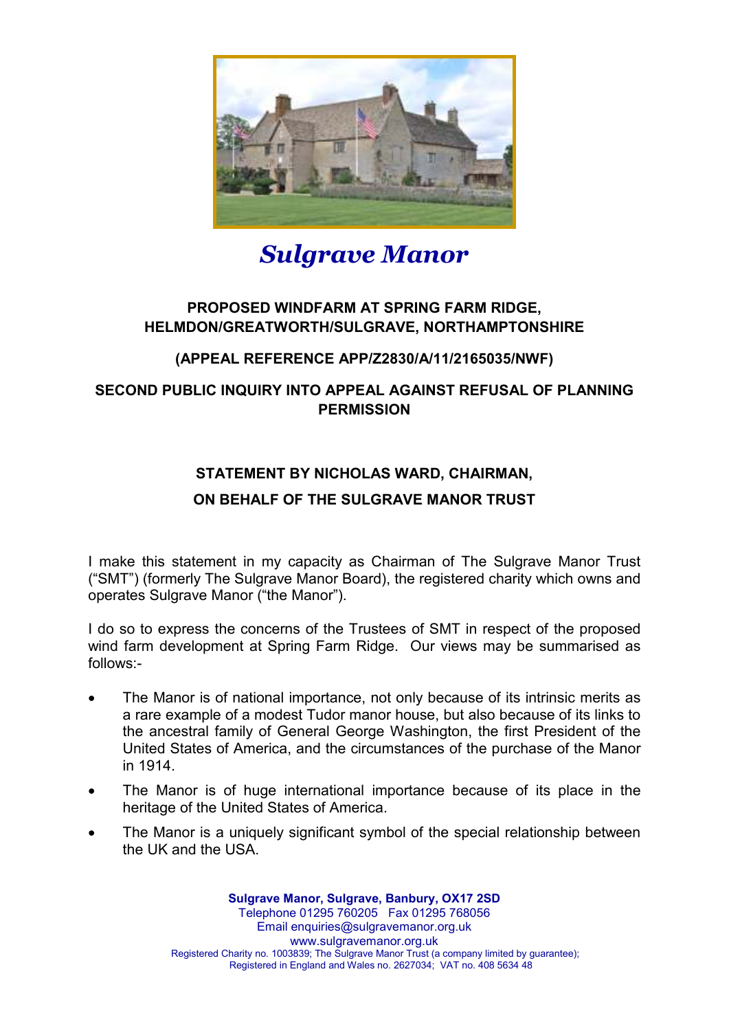

# *Sulgrave Manor*

## **PROPOSED WINDFARM AT SPRING FARM RIDGE, HELMDON/GREATWORTH/SULGRAVE, NORTHAMPTONSHIRE**

## **(APPEAL REFERENCE APP/Z2830/A/11/2165035/NWF)**

## **SECOND PUBLIC INQUIRY INTO APPEAL AGAINST REFUSAL OF PLANNING PERMISSION**

## **STATEMENT BY NICHOLAS WARD, CHAIRMAN,**

### **ON BEHALF OF THE SULGRAVE MANOR TRUST**

I make this statement in my capacity as Chairman of The Sulgrave Manor Trust ("SMT") (formerly The Sulgrave Manor Board), the registered charity which owns and operates Sulgrave Manor ("the Manor").

I do so to express the concerns of the Trustees of SMT in respect of the proposed wind farm development at Spring Farm Ridge. Our views may be summarised as follows:-

- The Manor is of national importance, not only because of its intrinsic merits as a rare example of a modest Tudor manor house, but also because of its links to the ancestral family of General George Washington, the first President of the United States of America, and the circumstances of the purchase of the Manor in 1914.
- The Manor is of huge international importance because of its place in the heritage of the United States of America.
- The Manor is a uniquely significant symbol of the special relationship between the UK and the USA.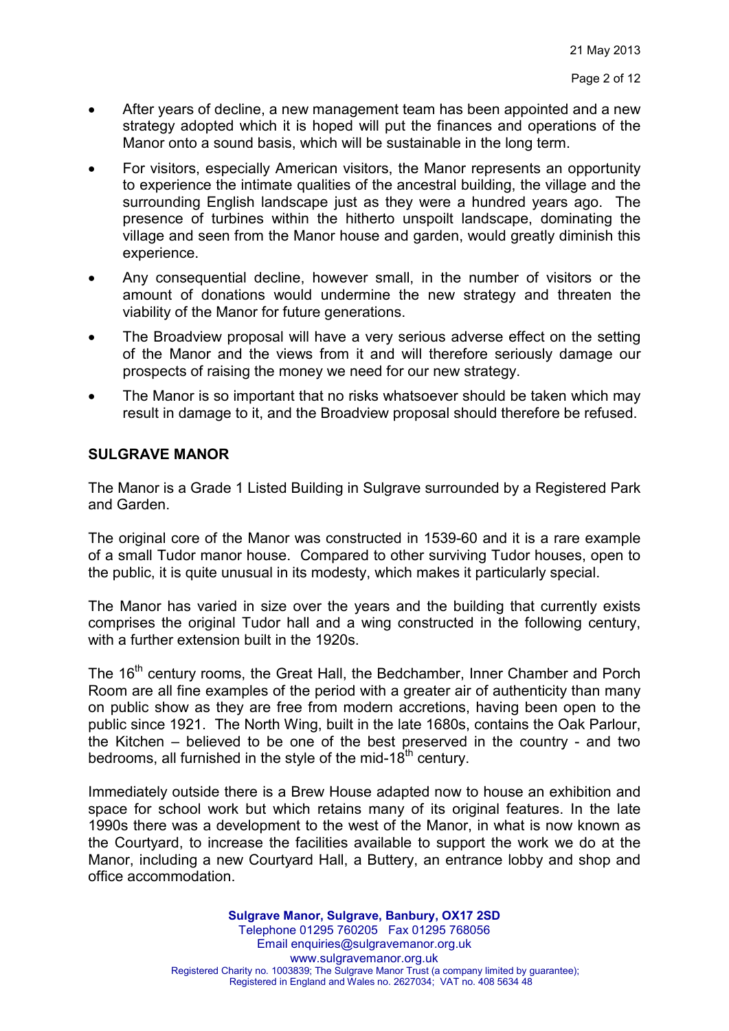- After years of decline, a new management team has been appointed and a new strategy adopted which it is hoped will put the finances and operations of the Manor onto a sound basis, which will be sustainable in the long term.
- For visitors, especially American visitors, the Manor represents an opportunity to experience the intimate qualities of the ancestral building, the village and the surrounding English landscape just as they were a hundred years ago. The presence of turbines within the hitherto unspoilt landscape, dominating the village and seen from the Manor house and garden, would greatly diminish this experience.
- Any consequential decline, however small, in the number of visitors or the amount of donations would undermine the new strategy and threaten the viability of the Manor for future generations.
- The Broadview proposal will have a very serious adverse effect on the setting of the Manor and the views from it and will therefore seriously damage our prospects of raising the money we need for our new strategy.
- The Manor is so important that no risks whatsoever should be taken which may result in damage to it, and the Broadview proposal should therefore be refused.

#### **SULGRAVE MANOR**

The Manor is a Grade 1 Listed Building in Sulgrave surrounded by a Registered Park and Garden.

The original core of the Manor was constructed in 1539-60 and it is a rare example of a small Tudor manor house. Compared to other surviving Tudor houses, open to the public, it is quite unusual in its modesty, which makes it particularly special.

The Manor has varied in size over the years and the building that currently exists comprises the original Tudor hall and a wing constructed in the following century, with a further extension built in the 1920s.

The 16<sup>th</sup> century rooms, the Great Hall, the Bedchamber, Inner Chamber and Porch Room are all fine examples of the period with a greater air of authenticity than many on public show as they are free from modern accretions, having been open to the public since 1921. The North Wing, built in the late 1680s, contains the Oak Parlour, the Kitchen – believed to be one of the best preserved in the country - and two bedrooms, all furnished in the style of the mid-18<sup>th</sup> century.

Immediately outside there is a Brew House adapted now to house an exhibition and space for school work but which retains many of its original features. In the late 1990s there was a development to the west of the Manor, in what is now known as the Courtyard, to increase the facilities available to support the work we do at the Manor, including a new Courtyard Hall, a Buttery, an entrance lobby and shop and office accommodation.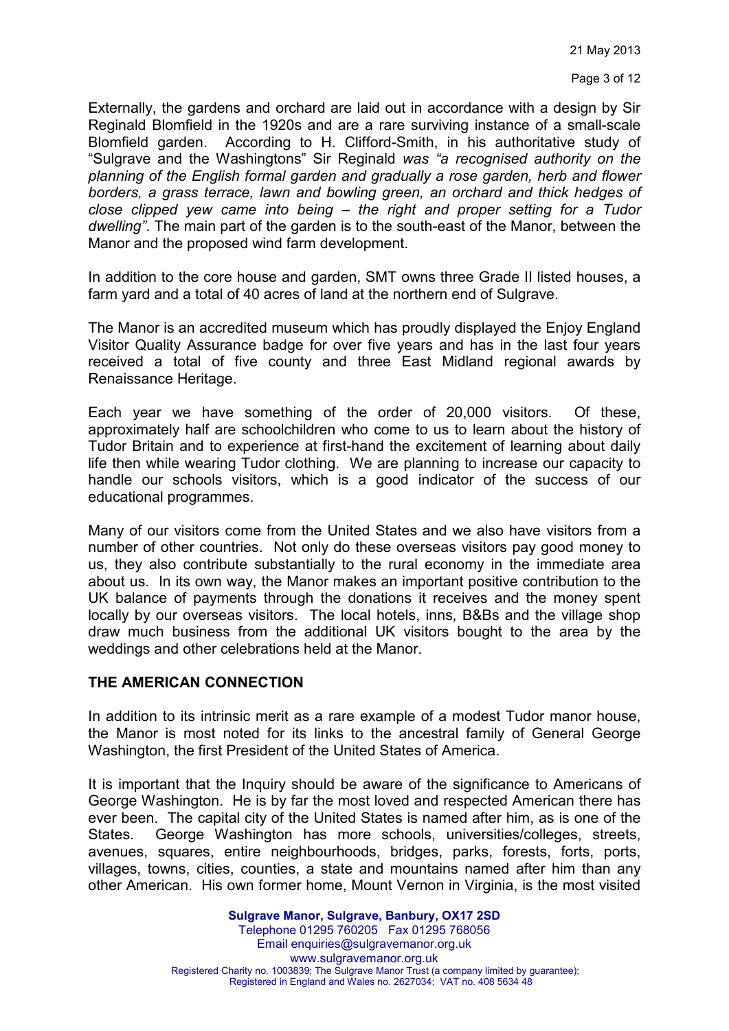Page 3 of 12

Externally, the gardens and orchard are laid out in accordance with a design by Sir Reginald Blomfield in the 1920s and are a rare surviving instance of a small-scale Blomfield garden. According to H. Clifford-Smith, in his authoritative study of "Sulgrave and the Washingtons" Sir Reginald *was "a recognised authority on the planning of the English formal garden and gradually a rose garden, herb and flower borders, a grass terrace, lawn and bowling green, an orchard and thick hedges of close clipped yew came into being – the right and proper setting for a Tudor dwelling"*. The main part of the garden is to the south-east of the Manor, between the Manor and the proposed wind farm development.

In addition to the core house and garden, SMT owns three Grade II listed houses, a farm yard and a total of 40 acres of land at the northern end of Sulgrave.

The Manor is an accredited museum which has proudly displayed the Enjoy England Visitor Quality Assurance badge for over five years and has in the last four years received a total of five county and three East Midland regional awards by Renaissance Heritage.

Each year we have something of the order of 20,000 visitors. Of these, approximately half are schoolchildren who come to us to learn about the history of Tudor Britain and to experience at first-hand the excitement of learning about daily life then while wearing Tudor clothing. We are planning to increase our capacity to handle our schools visitors, which is a good indicator of the success of our educational programmes.

Many of our visitors come from the United States and we also have visitors from a number of other countries. Not only do these overseas visitors pay good money to us, they also contribute substantially to the rural economy in the immediate area about us. In its own way, the Manor makes an important positive contribution to the UK balance of payments through the donations it receives and the money spent locally by our overseas visitors. The local hotels, inns, B&Bs and the village shop draw much business from the additional UK visitors bought to the area by the weddings and other celebrations held at the Manor.

#### **THE AMERICAN CONNECTION**

In addition to its intrinsic merit as a rare example of a modest Tudor manor house, the Manor is most noted for its links to the ancestral family of General George Washington, the first President of the United States of America.

It is important that the Inquiry should be aware of the significance to Americans of George Washington. He is by far the most loved and respected American there has ever been. The capital city of the United States is named after him, as is one of the States. George Washington has more schools, universities/colleges, streets, avenues, squares, entire neighbourhoods, bridges, parks, forests, forts, ports, villages, towns, cities, counties, a state and mountains named after him than any other American. His own former home, Mount Vernon in Virginia, is the most visited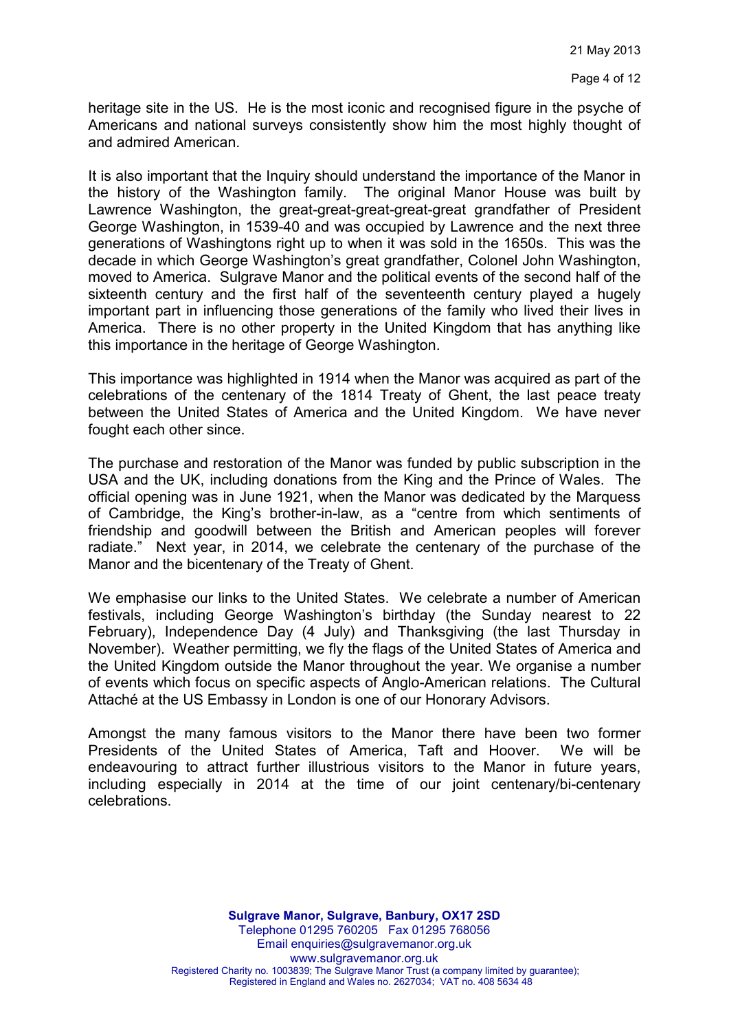heritage site in the US. He is the most iconic and recognised figure in the psyche of Americans and national surveys consistently show him the most highly thought of and admired American.

It is also important that the Inquiry should understand the importance of the Manor in the history of the Washington family. The original Manor House was built by Lawrence Washington, the great-great-great-great-great grandfather of President George Washington, in 1539-40 and was occupied by Lawrence and the next three generations of Washingtons right up to when it was sold in the 1650s. This was the decade in which George Washington's great grandfather, Colonel John Washington, moved to America. Sulgrave Manor and the political events of the second half of the sixteenth century and the first half of the seventeenth century played a hugely important part in influencing those generations of the family who lived their lives in America. There is no other property in the United Kingdom that has anything like this importance in the heritage of George Washington.

This importance was highlighted in 1914 when the Manor was acquired as part of the celebrations of the centenary of the 1814 Treaty of Ghent, the last peace treaty between the United States of America and the United Kingdom. We have never fought each other since.

The purchase and restoration of the Manor was funded by public subscription in the USA and the UK, including donations from the King and the Prince of Wales. The official opening was in June 1921, when the Manor was dedicated by the Marquess of Cambridge, the King's brother-in-law, as a "centre from which sentiments of friendship and goodwill between the British and American peoples will forever radiate." Next year, in 2014, we celebrate the centenary of the purchase of the Manor and the bicentenary of the Treaty of Ghent.

We emphasise our links to the United States. We celebrate a number of American festivals, including George Washington's birthday (the Sunday nearest to 22 February), Independence Day (4 July) and Thanksgiving (the last Thursday in November). Weather permitting, we fly the flags of the United States of America and the United Kingdom outside the Manor throughout the year. We organise a number of events which focus on specific aspects of Anglo-American relations. The Cultural Attaché at the US Embassy in London is one of our Honorary Advisors.

Amongst the many famous visitors to the Manor there have been two former Presidents of the United States of America, Taft and Hoover. We will be endeavouring to attract further illustrious visitors to the Manor in future years, including especially in 2014 at the time of our joint centenary/bi-centenary celebrations.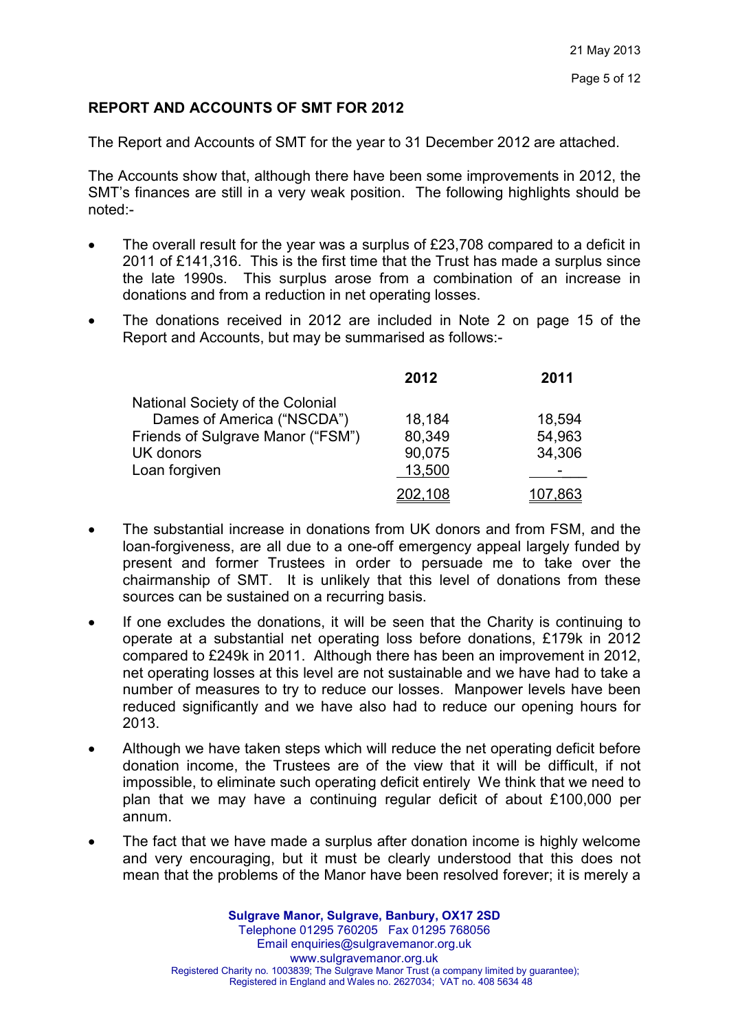#### **REPORT AND ACCOUNTS OF SMT FOR 2012**

The Report and Accounts of SMT for the year to 31 December 2012 are attached.

The Accounts show that, although there have been some improvements in 2012, the SMT's finances are still in a very weak position. The following highlights should be noted:-

- The overall result for the year was a surplus of £23,708 compared to a deficit in 2011 of £141,316. This is the first time that the Trust has made a surplus since the late 1990s. This surplus arose from a combination of an increase in donations and from a reduction in net operating losses.
- The donations received in 2012 are included in Note 2 on page 15 of the Report and Accounts, but may be summarised as follows:-

|                                   | 2012    | 2011   |
|-----------------------------------|---------|--------|
| National Society of the Colonial  |         |        |
| Dames of America ("NSCDA")        | 18,184  | 18,594 |
| Friends of Sulgrave Manor ("FSM") | 80,349  | 54,963 |
| UK donors                         | 90,075  | 34,306 |
| Loan forgiven                     | 13,500  |        |
|                                   | 202,108 | .863   |

- The substantial increase in donations from UK donors and from FSM, and the loan-forgiveness, are all due to a one-off emergency appeal largely funded by present and former Trustees in order to persuade me to take over the chairmanship of SMT. It is unlikely that this level of donations from these sources can be sustained on a recurring basis.
- If one excludes the donations, it will be seen that the Charity is continuing to operate at a substantial net operating loss before donations, £179k in 2012 compared to £249k in 2011. Although there has been an improvement in 2012, net operating losses at this level are not sustainable and we have had to take a number of measures to try to reduce our losses. Manpower levels have been reduced significantly and we have also had to reduce our opening hours for 2013.
- Although we have taken steps which will reduce the net operating deficit before donation income, the Trustees are of the view that it will be difficult, if not impossible, to eliminate such operating deficit entirely We think that we need to plan that we may have a continuing regular deficit of about £100,000 per annum.
- The fact that we have made a surplus after donation income is highly welcome and very encouraging, but it must be clearly understood that this does not mean that the problems of the Manor have been resolved forever; it is merely a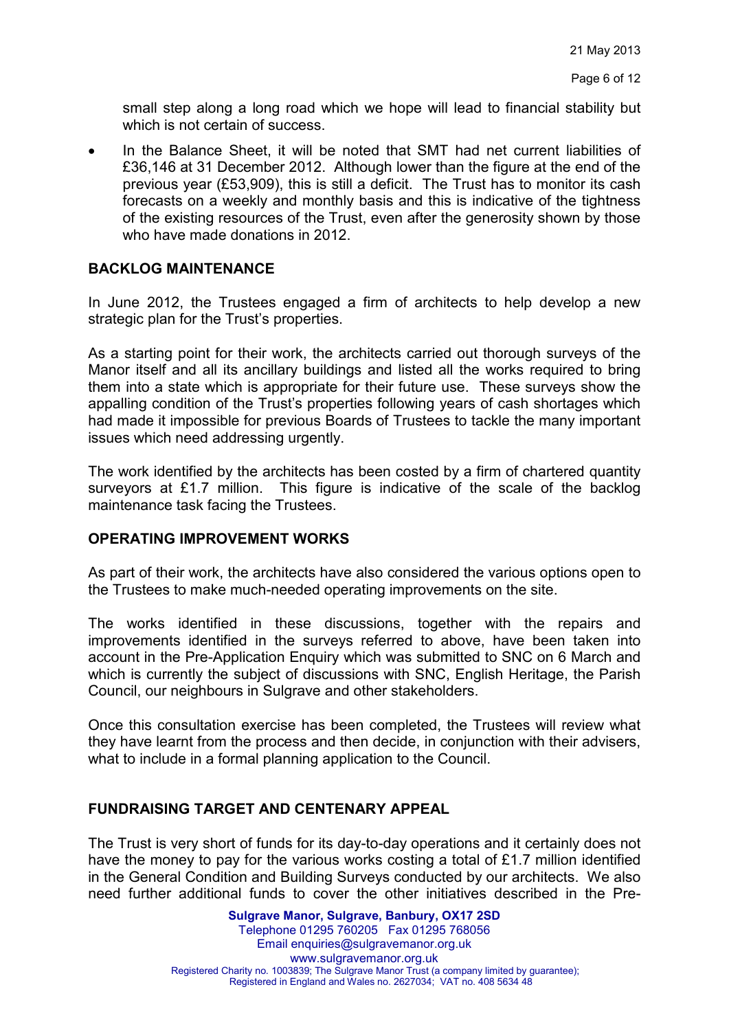small step along a long road which we hope will lead to financial stability but which is not certain of success.

• In the Balance Sheet, it will be noted that SMT had net current liabilities of £36,146 at 31 December 2012. Although lower than the figure at the end of the previous year (£53,909), this is still a deficit. The Trust has to monitor its cash forecasts on a weekly and monthly basis and this is indicative of the tightness of the existing resources of the Trust, even after the generosity shown by those who have made donations in 2012.

#### **BACKLOG MAINTENANCE**

In June 2012, the Trustees engaged a firm of architects to help develop a new strategic plan for the Trust's properties.

As a starting point for their work, the architects carried out thorough surveys of the Manor itself and all its ancillary buildings and listed all the works required to bring them into a state which is appropriate for their future use. These surveys show the appalling condition of the Trust's properties following years of cash shortages which had made it impossible for previous Boards of Trustees to tackle the many important issues which need addressing urgently.

The work identified by the architects has been costed by a firm of chartered quantity surveyors at £1.7 million. This figure is indicative of the scale of the backlog maintenance task facing the Trustees.

#### **OPERATING IMPROVEMENT WORKS**

As part of their work, the architects have also considered the various options open to the Trustees to make much-needed operating improvements on the site.

The works identified in these discussions, together with the repairs and improvements identified in the surveys referred to above, have been taken into account in the Pre-Application Enquiry which was submitted to SNC on 6 March and which is currently the subject of discussions with SNC, English Heritage, the Parish Council, our neighbours in Sulgrave and other stakeholders.

Once this consultation exercise has been completed, the Trustees will review what they have learnt from the process and then decide, in conjunction with their advisers, what to include in a formal planning application to the Council.

#### **FUNDRAISING TARGET AND CENTENARY APPEAL**

The Trust is very short of funds for its day-to-day operations and it certainly does not have the money to pay for the various works costing a total of £1.7 million identified in the General Condition and Building Surveys conducted by our architects. We also need further additional funds to cover the other initiatives described in the Pre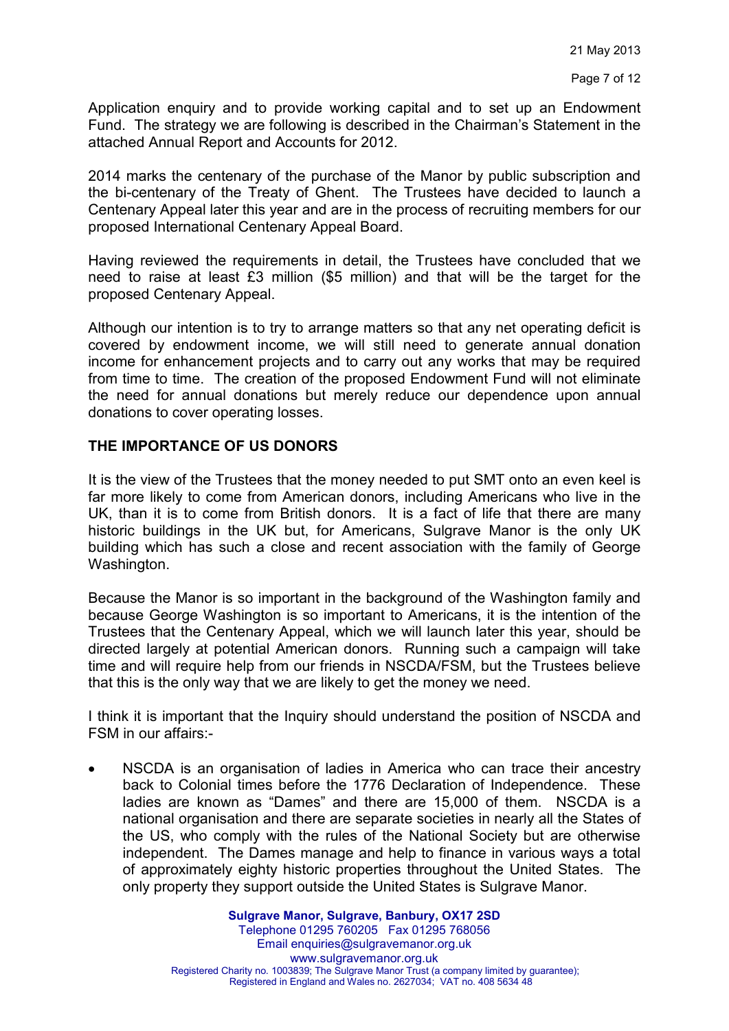Application enquiry and to provide working capital and to set up an Endowment Fund. The strategy we are following is described in the Chairman's Statement in the attached Annual Report and Accounts for 2012.

2014 marks the centenary of the purchase of the Manor by public subscription and the bi-centenary of the Treaty of Ghent. The Trustees have decided to launch a Centenary Appeal later this year and are in the process of recruiting members for our proposed International Centenary Appeal Board.

Having reviewed the requirements in detail, the Trustees have concluded that we need to raise at least £3 million (\$5 million) and that will be the target for the proposed Centenary Appeal.

Although our intention is to try to arrange matters so that any net operating deficit is covered by endowment income, we will still need to generate annual donation income for enhancement projects and to carry out any works that may be required from time to time. The creation of the proposed Endowment Fund will not eliminate the need for annual donations but merely reduce our dependence upon annual donations to cover operating losses.

#### **THE IMPORTANCE OF US DONORS**

It is the view of the Trustees that the money needed to put SMT onto an even keel is far more likely to come from American donors, including Americans who live in the UK, than it is to come from British donors. It is a fact of life that there are many historic buildings in the UK but, for Americans, Sulgrave Manor is the only UK building which has such a close and recent association with the family of George Washington.

Because the Manor is so important in the background of the Washington family and because George Washington is so important to Americans, it is the intention of the Trustees that the Centenary Appeal, which we will launch later this year, should be directed largely at potential American donors. Running such a campaign will take time and will require help from our friends in NSCDA/FSM, but the Trustees believe that this is the only way that we are likely to get the money we need.

I think it is important that the Inquiry should understand the position of NSCDA and FSM in our affairs:-

• NSCDA is an organisation of ladies in America who can trace their ancestry back to Colonial times before the 1776 Declaration of Independence. These ladies are known as "Dames" and there are 15,000 of them. NSCDA is a national organisation and there are separate societies in nearly all the States of the US, who comply with the rules of the National Society but are otherwise independent. The Dames manage and help to finance in various ways a total of approximately eighty historic properties throughout the United States. The only property they support outside the United States is Sulgrave Manor.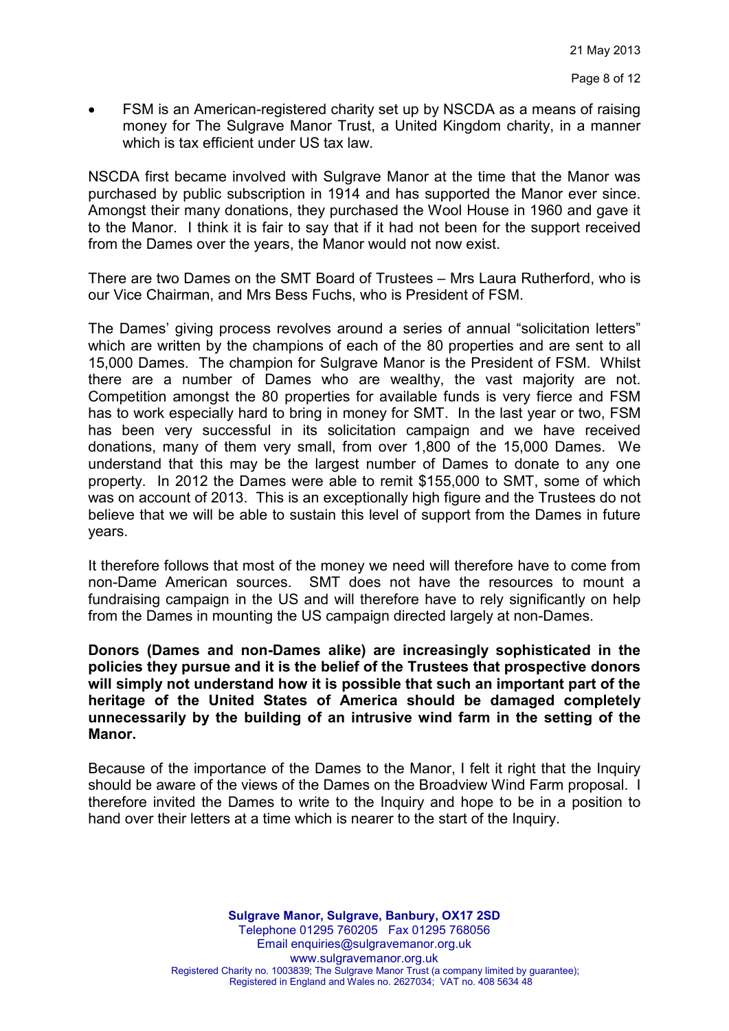• FSM is an American-registered charity set up by NSCDA as a means of raising money for The Sulgrave Manor Trust, a United Kingdom charity, in a manner which is tax efficient under US tax law.

NSCDA first became involved with Sulgrave Manor at the time that the Manor was purchased by public subscription in 1914 and has supported the Manor ever since. Amongst their many donations, they purchased the Wool House in 1960 and gave it to the Manor. I think it is fair to say that if it had not been for the support received from the Dames over the years, the Manor would not now exist.

There are two Dames on the SMT Board of Trustees – Mrs Laura Rutherford, who is our Vice Chairman, and Mrs Bess Fuchs, who is President of FSM.

The Dames' giving process revolves around a series of annual "solicitation letters" which are written by the champions of each of the 80 properties and are sent to all 15,000 Dames. The champion for Sulgrave Manor is the President of FSM. Whilst there are a number of Dames who are wealthy, the vast majority are not. Competition amongst the 80 properties for available funds is very fierce and FSM has to work especially hard to bring in money for SMT. In the last year or two, FSM has been very successful in its solicitation campaign and we have received donations, many of them very small, from over 1,800 of the 15,000 Dames. We understand that this may be the largest number of Dames to donate to any one property. In 2012 the Dames were able to remit \$155,000 to SMT, some of which was on account of 2013. This is an exceptionally high figure and the Trustees do not believe that we will be able to sustain this level of support from the Dames in future years.

It therefore follows that most of the money we need will therefore have to come from non-Dame American sources. SMT does not have the resources to mount a fundraising campaign in the US and will therefore have to rely significantly on help from the Dames in mounting the US campaign directed largely at non-Dames.

**Donors (Dames and non-Dames alike) are increasingly sophisticated in the policies they pursue and it is the belief of the Trustees that prospective donors will simply not understand how it is possible that such an important part of the heritage of the United States of America should be damaged completely unnecessarily by the building of an intrusive wind farm in the setting of the Manor.** 

Because of the importance of the Dames to the Manor, I felt it right that the Inquiry should be aware of the views of the Dames on the Broadview Wind Farm proposal. I therefore invited the Dames to write to the Inquiry and hope to be in a position to hand over their letters at a time which is nearer to the start of the Inquiry.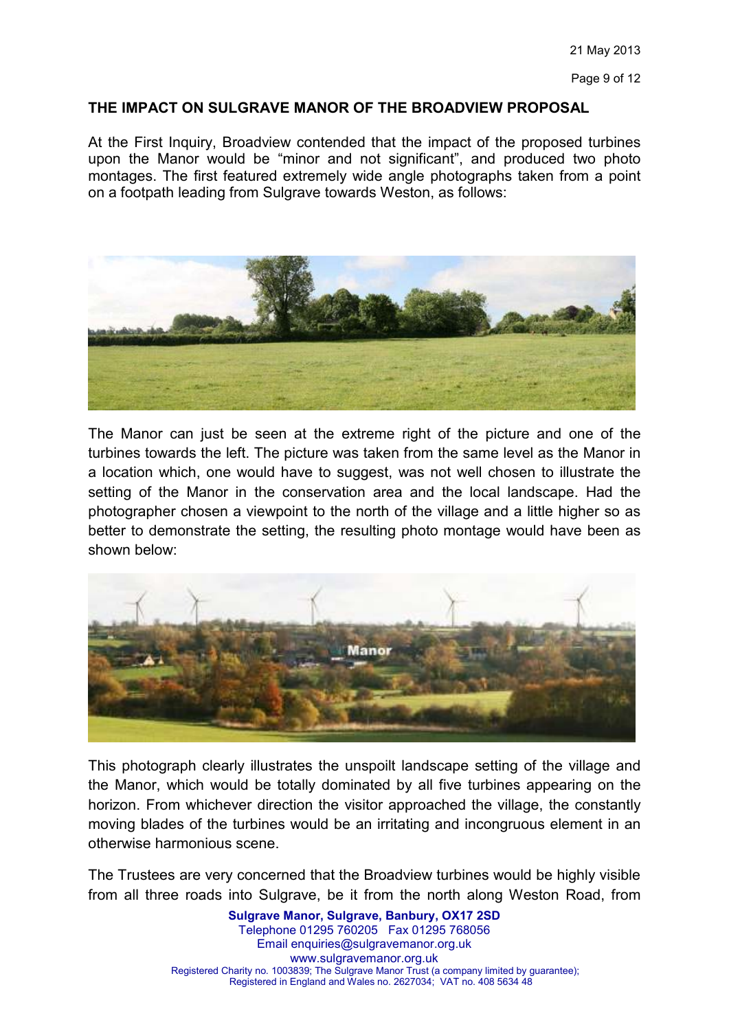Page 9 of 12

#### **THE IMPACT ON SULGRAVE MANOR OF THE BROADVIEW PROPOSAL**

At the First Inquiry, Broadview contended that the impact of the proposed turbines upon the Manor would be "minor and not significant", and produced two photo montages. The first featured extremely wide angle photographs taken from a point on a footpath leading from Sulgrave towards Weston, as follows:



The Manor can just be seen at the extreme right of the picture and one of the turbines towards the left. The picture was taken from the same level as the Manor in a location which, one would have to suggest, was not well chosen to illustrate the setting of the Manor in the conservation area and the local landscape. Had the photographer chosen a viewpoint to the north of the village and a little higher so as better to demonstrate the setting, the resulting photo montage would have been as shown below:



This photograph clearly illustrates the unspoilt landscape setting of the village and the Manor, which would be totally dominated by all five turbines appearing on the horizon. From whichever direction the visitor approached the village, the constantly moving blades of the turbines would be an irritating and incongruous element in an otherwise harmonious scene.

The Trustees are very concerned that the Broadview turbines would be highly visible from all three roads into Sulgrave, be it from the north along Weston Road, from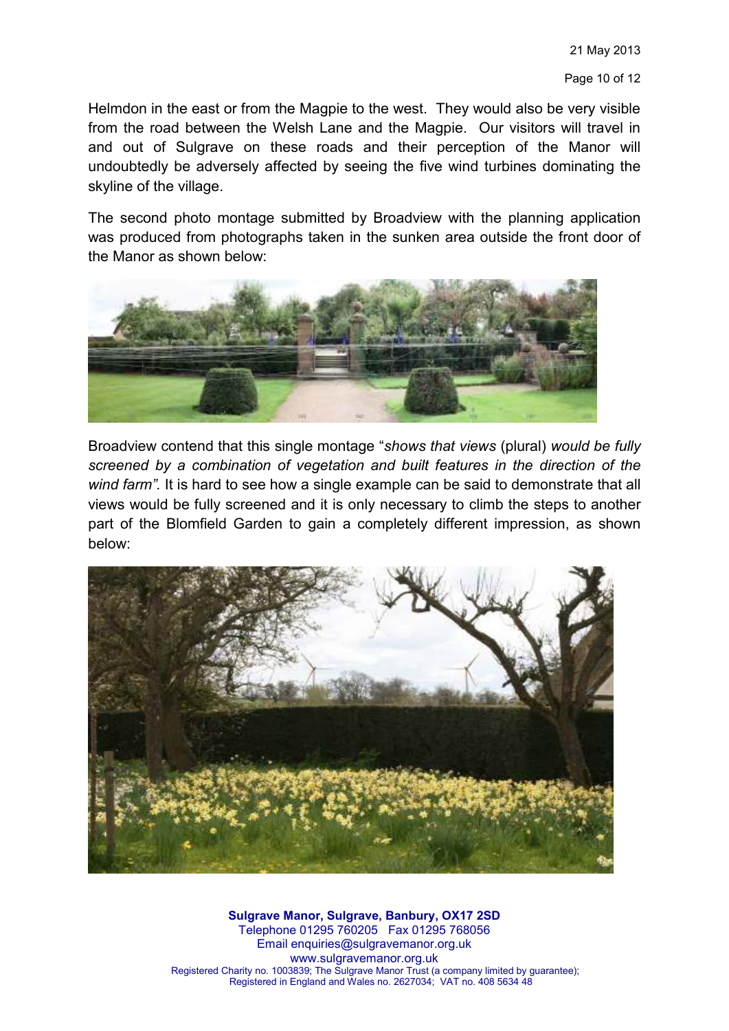Helmdon in the east or from the Magpie to the west. They would also be very visible from the road between the Welsh Lane and the Magpie. Our visitors will travel in and out of Sulgrave on these roads and their perception of the Manor will undoubtedly be adversely affected by seeing the five wind turbines dominating the skyline of the village.

The second photo montage submitted by Broadview with the planning application was produced from photographs taken in the sunken area outside the front door of the Manor as shown below:



Broadview contend that this single montage "*shows that views* (plural) *would be fully screened by a combination of vegetation and built features in the direction of the wind farm".* It is hard to see how a single example can be said to demonstrate that all views would be fully screened and it is only necessary to climb the steps to another part of the Blomfield Garden to gain a completely different impression, as shown below:

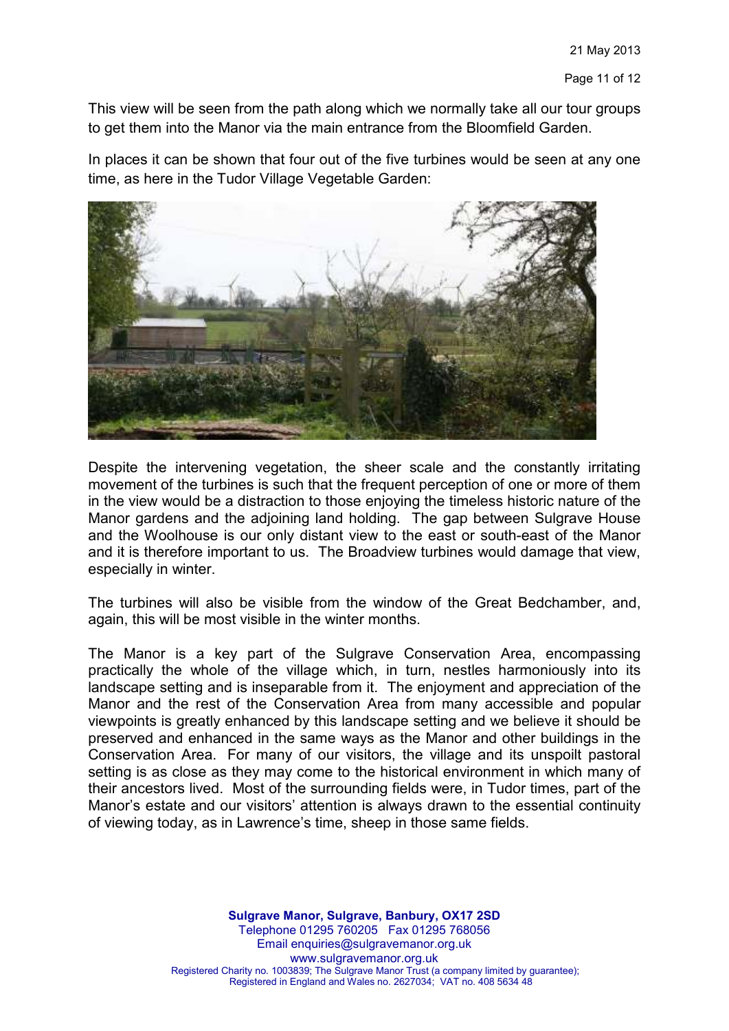This view will be seen from the path along which we normally take all our tour groups to get them into the Manor via the main entrance from the Bloomfield Garden.

In places it can be shown that four out of the five turbines would be seen at any one time, as here in the Tudor Village Vegetable Garden:



Despite the intervening vegetation, the sheer scale and the constantly irritating movement of the turbines is such that the frequent perception of one or more of them in the view would be a distraction to those enjoying the timeless historic nature of the Manor gardens and the adjoining land holding. The gap between Sulgrave House and the Woolhouse is our only distant view to the east or south-east of the Manor and it is therefore important to us. The Broadview turbines would damage that view, especially in winter.

The turbines will also be visible from the window of the Great Bedchamber, and, again, this will be most visible in the winter months.

The Manor is a key part of the Sulgrave Conservation Area, encompassing practically the whole of the village which, in turn, nestles harmoniously into its landscape setting and is inseparable from it. The enjoyment and appreciation of the Manor and the rest of the Conservation Area from many accessible and popular viewpoints is greatly enhanced by this landscape setting and we believe it should be preserved and enhanced in the same ways as the Manor and other buildings in the Conservation Area. For many of our visitors, the village and its unspoilt pastoral setting is as close as they may come to the historical environment in which many of their ancestors lived. Most of the surrounding fields were, in Tudor times, part of the Manor's estate and our visitors' attention is always drawn to the essential continuity of viewing today, as in Lawrence's time, sheep in those same fields.